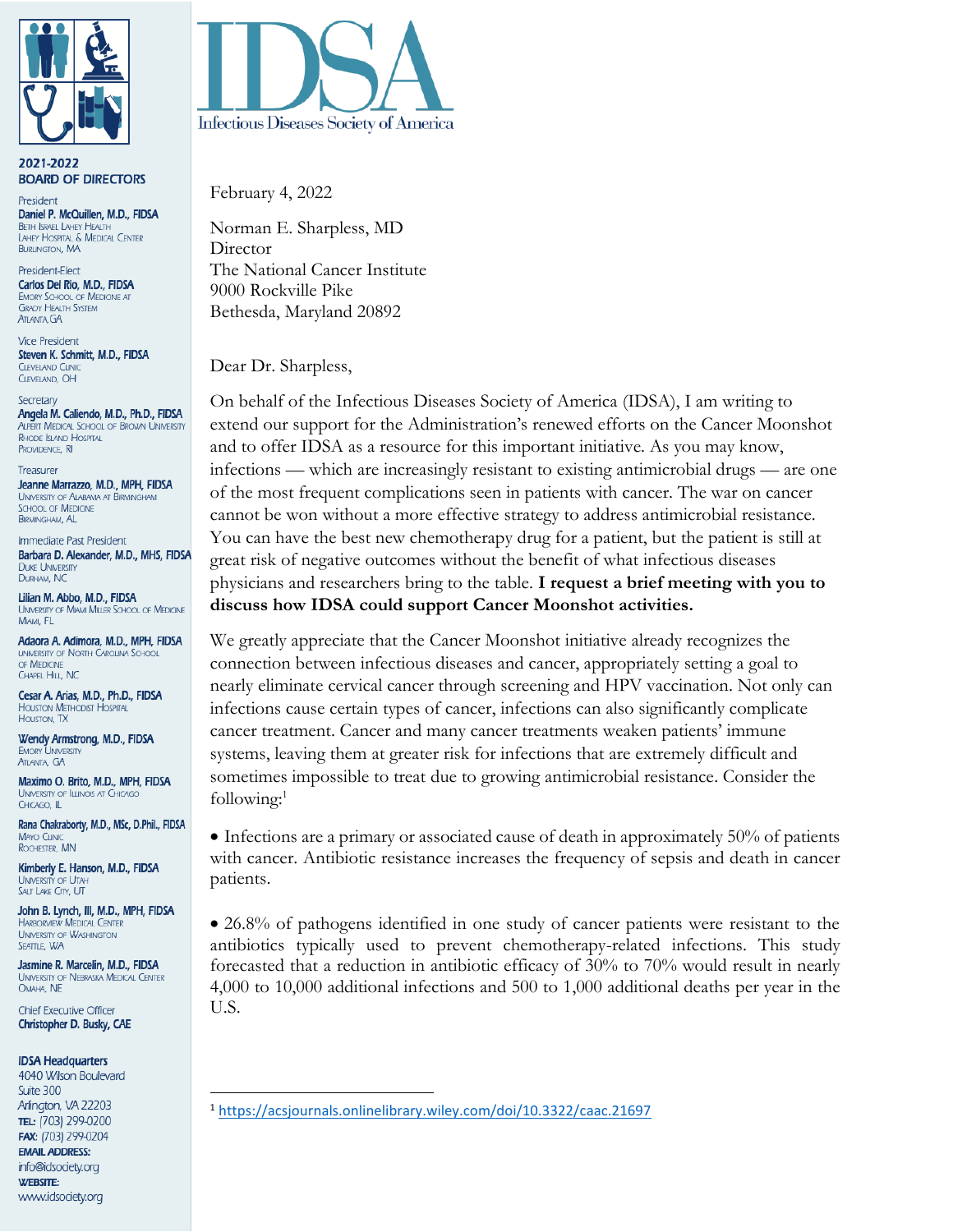

2021-2022 **BOARD OF DIRECTORS** 

President Daniel P. McQuillen, M.D., FIDSA **BETH ISRAEL LAHEY HEALTH** LAHEY HOSPITAL & MEDICAL CENTER **BURLINGTON, MA** 

President-Elect Carlos Del Rio, M.D., FIDSA **EMORY SCHOOL OF MEDICINE AT GRADY HEALTH SYSTEM** ATLANTA, GA

**Vice President** Steven K. Schmitt, M.D., FIDSA **CLEVELAND CLINIC** CLEVELAND, OH

Secretary Angela M. Caliendo, M.D., Ph.D., FIDSA **ALPERT MEDICAL SCHOOL OF BROWN UNIVERSITY RHODE ISLAND HOSPITAL** PROVIDENCE, RI

Treasurer Jeanne Marrazzo, M.D., MPH, FIDSA UNIVERSITY OF ALABAMA AT BIRMINGHAM **SCHOOL OF MEDICINE BIRMINGHAM, AL** 

Immediate Past President Barbara D. Alexander, M.D., MHS, FIDSA **DUKE UNIVERSITY** DURHAM, NC

Lilian M. Abbo, M.D., FIDSA **UNIVERSITY OF MIAMI MILLER SCHOOL OF MEDICINE** MIAMI, FL

Adaora A. Adimora, M.D., MPH, FIDSA **UNIVERSITY OF NORTH CAROLINA SCHOOL** OF MEDICINE CHAPEL HILL, NC

Cesar A. Arias, M.D., Ph.D., FIDSA **HOUSTON METHODIST HOSPITAL** HOUSTON, TX

Wendy Armstrong, M.D., FIDSA **EMORY UNIVERSITY ATLANTA, GA** 

Maximo O. Brito, M.D., MPH, FIDSA **UNIVERSITY OF ILLINOIS AT CHICAGO** CHICAGO, IL

Rana Chakraborty, M.D., MSc, D.Phil., FIDSA **MAYO CLINIC** ROCHESTER, MN

Kimberly E. Hanson, M.D., FIDSA UNIVERSITY OF UTAH SALT LAKE CITY, UT

John B. Lynch, III, M.D., MPH, FIDSA **HARBORVIEW MEDICAL CENTER UNIVERSITY OF WASHINGTON** SEATTLE, WA

Jasmine R. Marcelin, M.D., FIDSA UNIVERSITY OF NEBRASKA MEDICAL CENTER OMAHA, NE

**Chief Executive Officer** Christopher D. Busky, CAE

## **IDSA Headquarters**

4040 Wilson Boulevard Suite 300 Arlington, VA 22203 TEL: (703) 299-0200 FAX: (703) 299-0204 **EMAIL ADDRESS:** info@idsociety.org **WEBSITE:** www.idsociety.org



February 4, 2022

Norman E. Sharpless, MD **Director** The National Cancer Institute 9000 Rockville Pike Bethesda, Maryland 20892

Dear Dr. Sharpless,

On behalf of the Infectious Diseases Society of America (IDSA), I am writing to extend our support for the Administration's renewed efforts on the Cancer Moonshot and to offer IDSA as a resource for this important initiative. As you may know, infections — which are increasingly resistant to existing antimicrobial drugs — are one of the most frequent complications seen in patients with cancer. The war on cancer cannot be won without a more effective strategy to address antimicrobial resistance. You can have the best new chemotherapy drug for a patient, but the patient is still at great risk of negative outcomes without the benefit of what infectious diseases physicians and researchers bring to the table. **I request a brief meeting with you to discuss how IDSA could support Cancer Moonshot activities.**

We greatly appreciate that the Cancer Moonshot initiative already recognizes the connection between infectious diseases and cancer, appropriately setting a goal to nearly eliminate cervical cancer through screening and HPV vaccination. Not only can infections cause certain types of cancer, infections can also significantly complicate cancer treatment. Cancer and many cancer treatments weaken patients' immune systems, leaving them at greater risk for infections that are extremely difficult and sometimes impossible to treat due to growing antimicrobial resistance. Consider the following: 1

• Infections are a primary or associated cause of death in approximately 50% of patients with cancer. Antibiotic resistance increases the frequency of sepsis and death in cancer patients.

• 26.8% of pathogens identified in one study of cancer patients were resistant to the antibiotics typically used to prevent chemotherapy-related infections. This study forecasted that a reduction in antibiotic efficacy of 30% to 70% would result in nearly 4,000 to 10,000 additional infections and 500 to 1,000 additional deaths per year in the U.S.

<sup>1</sup> <https://acsjournals.onlinelibrary.wiley.com/doi/10.3322/caac.21697>